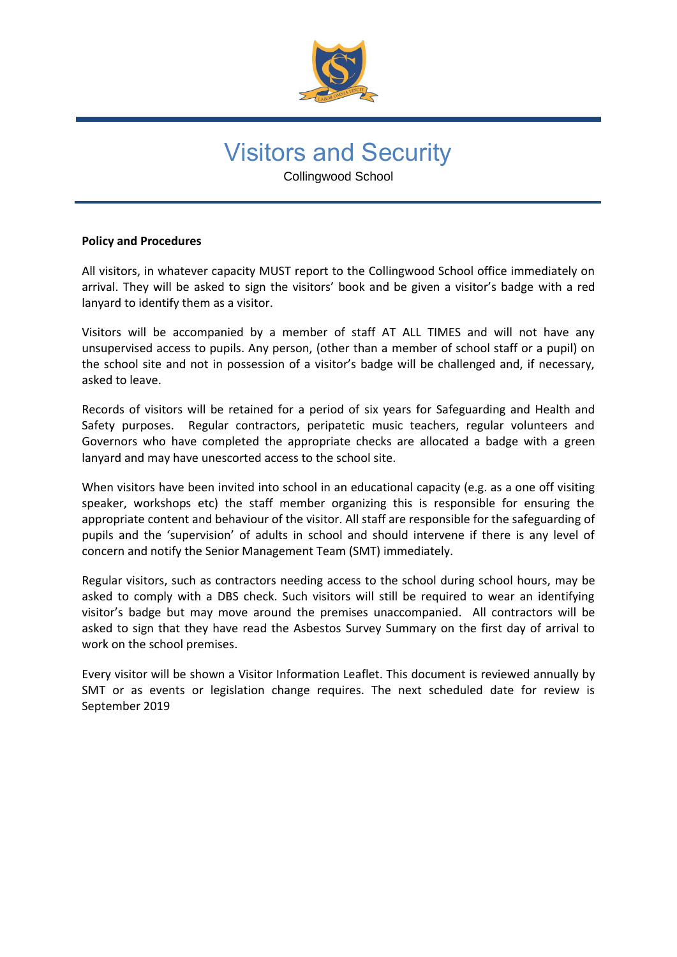

# Visitors and Security

Collingwood School

## **Policy and Procedures**

All visitors, in whatever capacity MUST report to the Collingwood School office immediately on arrival. They will be asked to sign the visitors' book and be given a visitor's badge with a red lanyard to identify them as a visitor.

Visitors will be accompanied by a member of staff AT ALL TIMES and will not have any unsupervised access to pupils. Any person, (other than a member of school staff or a pupil) on the school site and not in possession of a visitor's badge will be challenged and, if necessary, asked to leave.

Records of visitors will be retained for a period of six years for Safeguarding and Health and Safety purposes. Regular contractors, peripatetic music teachers, regular volunteers and Governors who have completed the appropriate checks are allocated a badge with a green lanyard and may have unescorted access to the school site.

When visitors have been invited into school in an educational capacity (e.g. as a one off visiting speaker, workshops etc) the staff member organizing this is responsible for ensuring the appropriate content and behaviour of the visitor. All staff are responsible for the safeguarding of pupils and the 'supervision' of adults in school and should intervene if there is any level of concern and notify the Senior Management Team (SMT) immediately.

Regular visitors, such as contractors needing access to the school during school hours, may be asked to comply with a DBS check. Such visitors will still be required to wear an identifying visitor's badge but may move around the premises unaccompanied. All contractors will be asked to sign that they have read the Asbestos Survey Summary on the first day of arrival to work on the school premises.

Every visitor will be shown a Visitor Information Leaflet. This document is reviewed annually by SMT or as events or legislation change requires. The next scheduled date for review is September 2019